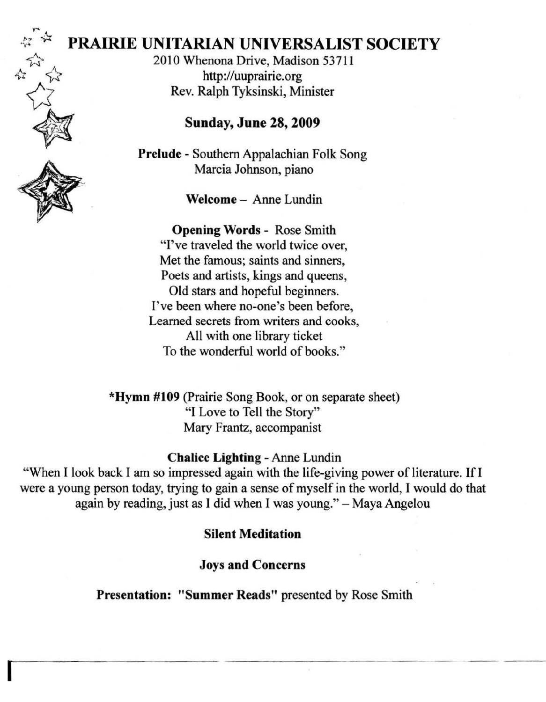# **PRAIRIE** UNITARIAN UNIVERSALIST SOCIETY

2010 Whenona Drive, Madison 53711 http://uuprairie.org Rev. Ralph Tyksinski, Minister

### Sunday, June 28, 2009

Prelude - Southern Appalachian Folk Song Marcia Johnson, piano

Welcome - Anne Lundin

Opening Words - Rose Smith "I've traveled the world twice over, Met the famous; saints and sinners, Poets and artists, kings and queens, Old stars and hopeful beginners. I've been where no-one's been before, Learned secrets from writers and cooks, All with one library ticket To the wonderful world of books."

\*Hymn #109 (Prairie Song Book, or on separate sheet) "I Love to Tell the Story" Mary Frantz, accompanist

#### Chalice Lighting - Anne Lundin

"When I look back I am so impressed again with the life-giving power of literature. If I were a young person today, trying to gain a sense of myself in the world, I would do that again by reading, just as I did when I was young." - Maya Angelou

#### Silent Meditation

Joys and Concerns

Presentation: "Summer Reads" presented by Rose Smith



谷

w. 12

**I**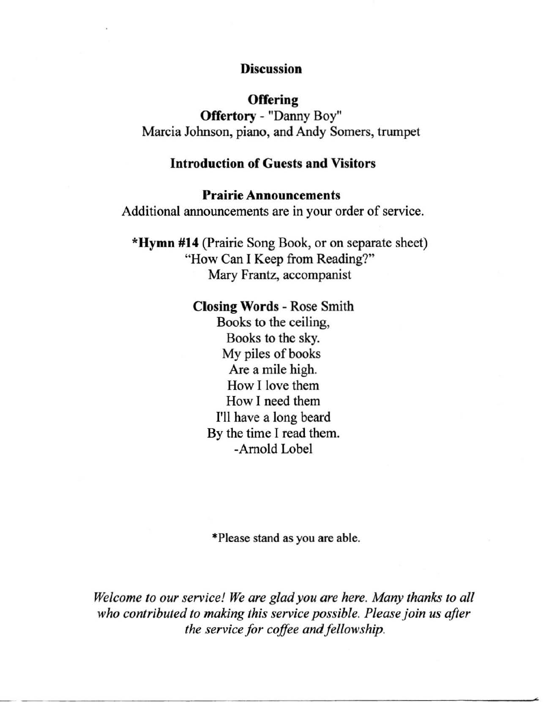### **Discussion**

### **Offering**

Offertory - "Danny Boy" Marcia Johnson, piano, and Andy Somers, trumpet

### Introduction of Guests and Visitors

#### Prairie Announcements

Additional announcements are in your order of service.

\*Hymn #14 (Prairie Song Book, or on separate sheet) "How Can I Keep from Reading?" Mary Frantz, accompanist

#### Closing Words - Rose Smith

Books to the ceiling, Books to the sky. My piles of books Are a mile high. How I love them How I need them I'll have a long beard By the time I read them. -Arnold Lobel

·Please stand as you are able.

*Welcome to our service! We are glad you are here. Many thanks to all who contributed to making this service possible. Please join us after the service for coffee and fellowship.* 

<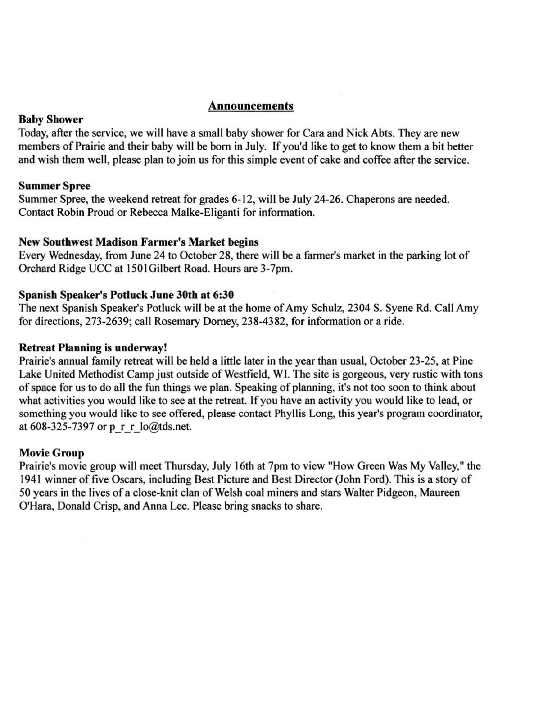#### Announcements

#### Baby Shower

Today, after the service, we will have a small baby shower for Cara and Nick Abts. They are new members of Prairie and their baby will be born in July. If you'd like to get to know them a bit better and wish them well, please plan to join us for this simple event of cake and coffee after the service.

#### **Summer Spree**

Summer Spree, the weekend retreat for grades 6-12, will be July 24-26. Chaperons are needed. Contact Robin Proud or Rebecca Malke-Eliganti for information.

#### New Southwest Madison Farmer's Market begins

Every Wednesday, from June 24 to October 28, there will be a farmer's market in the parking lot of Orchard Ridge UCC at 150lGilbert Road. Hours are 3-7pm.

#### Spanish Speaker's Potluck June 30th at 6:30

The next Spanish Speaker's Potluck will be at the home of Amy Schulz, 2304 S. Syene Rd. Call Amy for directions, 273-2639; call Rosemary Dorney, 238-4382, for information or a ride.

#### **Retreat Planning is underway!**

Prairie's annual family retreat will be held a little later in the year than usual, October 23-25, at Pine Lake United Methodist Camp just outside of Westfield, WI. The site is gorgeous, very rustic with tons of space for us to do all the fun things we plan. Speaking of planning, it's not too soon to think about what activities you would like to see at the retreat. If you have an activity you would like to lead, or **something you would like to see offered, please contact Phyllis Long, this year's program coordinator,**  at 608-325-7397 or p $r \in \text{Io@tds.net}$ .

#### Movie Group

**Prairie's movie group will meet Thursday, July 16th at 7pm to view "How Green Was My Valley," the**  1941 winner of five Oscars, including Best Picture and Best Director (John Ford). This is a story of 50 years in the lives of a close-knit clan of Welsh coal miners and stars Walter Pidgeon, Maureen O'Hara, Donald Crisp, and Anna Lee. Please bring snacks to share.